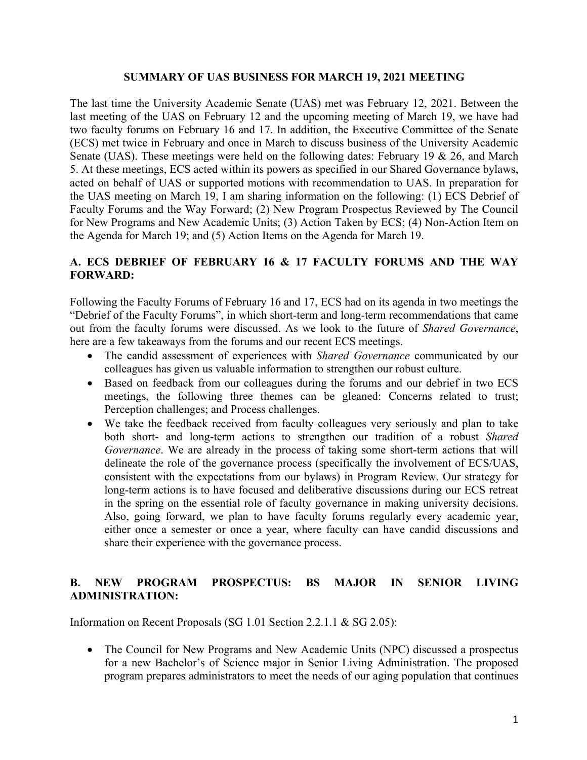#### **SUMMARY OF UAS BUSINESS FOR MARCH 19, 2021 MEETING**

The last time the University Academic Senate (UAS) met was February 12, 2021. Between the last meeting of the UAS on February 12 and the upcoming meeting of March 19, we have had two faculty forums on February 16 and 17. In addition, the Executive Committee of the Senate (ECS) met twice in February and once in March to discuss business of the University Academic Senate (UAS). These meetings were held on the following dates: February 19 & 26, and March 5. At these meetings, ECS acted within its powers as specified in our Shared Governance bylaws, acted on behalf of UAS or supported motions with recommendation to UAS. In preparation for the UAS meeting on March 19, I am sharing information on the following: (1) ECS Debrief of Faculty Forums and the Way Forward; (2) New Program Prospectus Reviewed by The Council for New Programs and New Academic Units; (3) Action Taken by ECS; (4) Non-Action Item on the Agenda for March 19; and (5) Action Items on the Agenda for March 19.

# **A. ECS DEBRIEF OF FEBRUARY 16 & 17 FACULTY FORUMS AND THE WAY FORWARD:**

Following the Faculty Forums of February 16 and 17, ECS had on its agenda in two meetings the "Debrief of the Faculty Forums", in which short-term and long-term recommendations that came out from the faculty forums were discussed. As we look to the future of *Shared Governance*, here are a few takeaways from the forums and our recent ECS meetings.

- The candid assessment of experiences with *Shared Governance* communicated by our colleagues has given us valuable information to strengthen our robust culture.
- Based on feedback from our colleagues during the forums and our debrief in two ECS meetings, the following three themes can be gleaned: Concerns related to trust; Perception challenges; and Process challenges.
- We take the feedback received from faculty colleagues very seriously and plan to take both short- and long-term actions to strengthen our tradition of a robust *Shared Governance*. We are already in the process of taking some short-term actions that will delineate the role of the governance process (specifically the involvement of ECS/UAS, consistent with the expectations from our bylaws) in Program Review. Our strategy for long-term actions is to have focused and deliberative discussions during our ECS retreat in the spring on the essential role of faculty governance in making university decisions. Also, going forward, we plan to have faculty forums regularly every academic year, either once a semester or once a year, where faculty can have candid discussions and share their experience with the governance process.

## **B. NEW PROGRAM PROSPECTUS: BS MAJOR IN SENIOR LIVING ADMINISTRATION:**

Information on Recent Proposals (SG 1.01 Section 2.2.1.1 & SG 2.05):

• The Council for New Programs and New Academic Units (NPC) discussed a prospectus for a new Bachelor's of Science major in Senior Living Administration. The proposed program prepares administrators to meet the needs of our aging population that continues